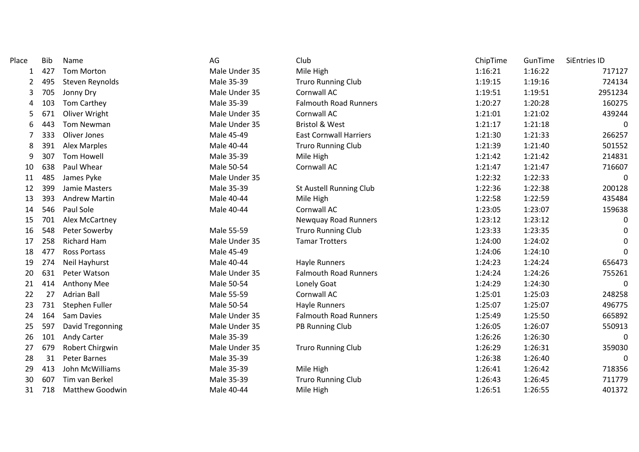| Place | <b>Bib</b> | Name                   | AG            | Club                           | ChipTime | GunTime | <b>SiEntries ID</b> |
|-------|------------|------------------------|---------------|--------------------------------|----------|---------|---------------------|
| 1     | 427        | <b>Tom Morton</b>      | Male Under 35 | Mile High                      | 1:16:21  | 1:16:22 | 717127              |
| 2     | 495        | Steven Reynolds        | Male 35-39    | <b>Truro Running Club</b>      | 1:19:15  | 1:19:16 | 724134              |
| 3     | 705        | Jonny Dry              | Male Under 35 | Cornwall AC                    | 1:19:51  | 1:19:51 | 2951234             |
| 4     | 103        | Tom Carthey            | Male 35-39    | <b>Falmouth Road Runners</b>   | 1:20:27  | 1:20:28 | 160275              |
| 5     | 671        | Oliver Wright          | Male Under 35 | Cornwall AC                    | 1:21:01  | 1:21:02 | 439244              |
| 6     | 443        | <b>Tom Newman</b>      | Male Under 35 | <b>Bristol &amp; West</b>      | 1:21:17  | 1:21:18 | $\Omega$            |
| 7     | 333        | Oliver Jones           | Male 45-49    | <b>East Cornwall Harriers</b>  | 1:21:30  | 1:21:33 | 266257              |
| 8     | 391        | Alex Marples           | Male 40-44    | <b>Truro Running Club</b>      | 1:21:39  | 1:21:40 | 501552              |
| 9     | 307        | <b>Tom Howell</b>      | Male 35-39    | Mile High                      | 1:21:42  | 1:21:42 | 214831              |
| 10    | 638        | Paul Whear             | Male 50-54    | Cornwall AC                    | 1:21:47  | 1:21:47 | 716607              |
| 11    | 485        | James Pyke             | Male Under 35 |                                | 1:22:32  | 1:22:33 | $\Omega$            |
| 12    | 399        | Jamie Masters          | Male 35-39    | <b>St Austell Running Club</b> | 1:22:36  | 1:22:38 | 200128              |
| 13    | 393        | <b>Andrew Martin</b>   | Male 40-44    | Mile High                      | 1:22:58  | 1:22:59 | 435484              |
| 14    | 546        | Paul Sole              | Male 40-44    | Cornwall AC                    | 1:23:05  | 1:23:07 | 159638              |
| 15    | 701        | Alex McCartney         |               | Newquay Road Runners           | 1:23:12  | 1:23:12 | 0                   |
| 16    | 548        | Peter Sowerby          | Male 55-59    | <b>Truro Running Club</b>      | 1:23:33  | 1:23:35 | 0                   |
| 17    | 258        | <b>Richard Ham</b>     | Male Under 35 | <b>Tamar Trotters</b>          | 1:24:00  | 1:24:02 | 0                   |
| 18    | 477        | <b>Ross Portass</b>    | Male 45-49    |                                | 1:24:06  | 1:24:10 | $\Omega$            |
| 19    | 274        | Neil Hayhurst          | Male 40-44    | <b>Hayle Runners</b>           | 1:24:23  | 1:24:24 | 656473              |
| 20    | 631        | Peter Watson           | Male Under 35 | <b>Falmouth Road Runners</b>   | 1:24:24  | 1:24:26 | 755261              |
| 21    | 414        | Anthony Mee            | Male 50-54    | Lonely Goat                    | 1:24:29  | 1:24:30 | 0                   |
| 22    | 27         | <b>Adrian Ball</b>     | Male 55-59    | Cornwall AC                    | 1:25:01  | 1:25:03 | 248258              |
| 23    | 731        | Stephen Fuller         | Male 50-54    | <b>Hayle Runners</b>           | 1:25:07  | 1:25:07 | 496775              |
| 24    | 164        | Sam Davies             | Male Under 35 | <b>Falmouth Road Runners</b>   | 1:25:49  | 1:25:50 | 665892              |
| 25    | 597        | David Tregonning       | Male Under 35 | PB Running Club                | 1:26:05  | 1:26:07 | 550913              |
| 26    | 101        | Andy Carter            | Male 35-39    |                                | 1:26:26  | 1:26:30 | 0                   |
| 27    | 679        | Robert Chirgwin        | Male Under 35 | <b>Truro Running Club</b>      | 1:26:29  | 1:26:31 | 359030              |
| 28    | 31         | <b>Peter Barnes</b>    | Male 35-39    |                                | 1:26:38  | 1:26:40 | $\Omega$            |
| 29    | 413        | John McWilliams        | Male 35-39    | Mile High                      | 1:26:41  | 1:26:42 | 718356              |
| 30    | 607        | Tim van Berkel         | Male 35-39    | <b>Truro Running Club</b>      | 1:26:43  | 1:26:45 | 711779              |
| 31    | 718        | <b>Matthew Goodwin</b> | Male 40-44    | Mile High                      | 1:26:51  | 1:26:55 | 401372              |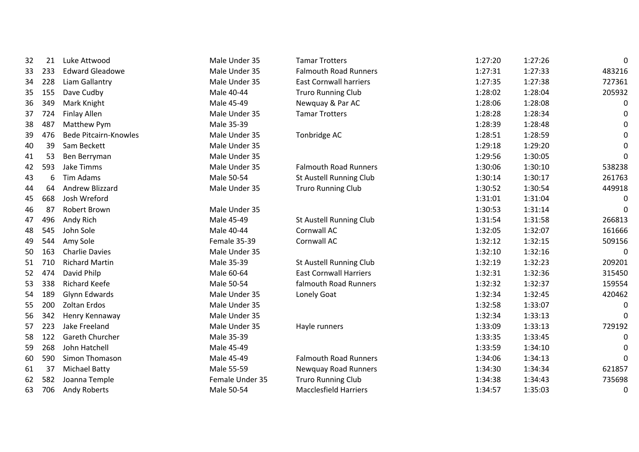|    | 21  | Luke Attwood                 | Male Under 35   | <b>Tamar Trotters</b>         | 1:27:20 | 1:27:26 | 0        |
|----|-----|------------------------------|-----------------|-------------------------------|---------|---------|----------|
| 32 |     |                              |                 | <b>Falmouth Road Runners</b>  |         |         |          |
| 33 | 233 | <b>Edward Gleadowe</b>       | Male Under 35   |                               | 1:27:31 | 1:27:33 | 483216   |
| 34 | 228 | Liam Gallantry               | Male Under 35   | <b>East Cornwall harriers</b> | 1:27:35 | 1:27:38 | 727361   |
| 35 | 155 | Dave Cudby                   | Male 40-44      | <b>Truro Running Club</b>     | 1:28:02 | 1:28:04 | 205932   |
| 36 | 349 | Mark Knight                  | Male 45-49      | Newquay & Par AC              | 1:28:06 | 1:28:08 | 0        |
| 37 | 724 | Finlay Allen                 | Male Under 35   | <b>Tamar Trotters</b>         | 1:28:28 | 1:28:34 | 0        |
| 38 | 487 | Matthew Pym                  | Male 35-39      |                               | 1:28:39 | 1:28:48 | 0        |
| 39 | 476 | <b>Bede Pitcairn-Knowles</b> | Male Under 35   | Tonbridge AC                  | 1:28:51 | 1:28:59 | 0        |
| 40 | 39  | Sam Beckett                  | Male Under 35   |                               | 1:29:18 | 1:29:20 | 0        |
| 41 | 53  | Ben Berryman                 | Male Under 35   |                               | 1:29:56 | 1:30:05 | 0        |
| 42 | 593 | Jake Timms                   | Male Under 35   | <b>Falmouth Road Runners</b>  | 1:30:06 | 1:30:10 | 538238   |
| 43 | 6   | Tim Adams                    | Male 50-54      | St Austell Running Club       | 1:30:14 | 1:30:17 | 261763   |
| 44 | 64  | Andrew Blizzard              | Male Under 35   | <b>Truro Running Club</b>     | 1:30:52 | 1:30:54 | 449918   |
| 45 | 668 | Josh Wreford                 |                 |                               | 1:31:01 | 1:31:04 | 0        |
| 46 | 87  | Robert Brown                 | Male Under 35   |                               | 1:30:53 | 1:31:14 | 0        |
| 47 | 496 | Andy Rich                    | Male 45-49      | St Austell Running Club       | 1:31:54 | 1:31:58 | 266813   |
| 48 | 545 | John Sole                    | Male 40-44      | Cornwall AC                   | 1:32:05 | 1:32:07 | 161666   |
| 49 | 544 | Amy Sole                     | Female 35-39    | Cornwall AC                   | 1:32:12 | 1:32:15 | 509156   |
| 50 | 163 | <b>Charlie Davies</b>        | Male Under 35   |                               | 1:32:10 | 1:32:16 | 0        |
| 51 | 710 | <b>Richard Martin</b>        | Male 35-39      | St Austell Running Club       | 1:32:19 | 1:32:23 | 209201   |
| 52 | 474 | David Philp                  | Male 60-64      | <b>East Cornwall Harriers</b> | 1:32:31 | 1:32:36 | 315450   |
| 53 | 338 | <b>Richard Keefe</b>         | Male 50-54      | falmouth Road Runners         | 1:32:32 | 1:32:37 | 159554   |
| 54 | 189 | Glynn Edwards                | Male Under 35   | Lonely Goat                   | 1:32:34 | 1:32:45 | 420462   |
| 55 | 200 | <b>Zoltan Erdos</b>          | Male Under 35   |                               | 1:32:58 | 1:33:07 | 0        |
| 56 | 342 | Henry Kennaway               | Male Under 35   |                               | 1:32:34 | 1:33:13 | $\Omega$ |
| 57 | 223 | Jake Freeland                | Male Under 35   | Hayle runners                 | 1:33:09 | 1:33:13 | 729192   |
| 58 | 122 | Gareth Churcher              | Male 35-39      |                               | 1:33:35 | 1:33:45 | 0        |
| 59 | 268 | John Hatchell                | Male 45-49      |                               | 1:33:59 | 1:34:10 | 0        |
| 60 | 590 | Simon Thomason               | Male 45-49      | <b>Falmouth Road Runners</b>  | 1:34:06 | 1:34:13 | 0        |
| 61 | 37  | <b>Michael Batty</b>         | Male 55-59      | <b>Newquay Road Runners</b>   | 1:34:30 | 1:34:34 | 621857   |
| 62 | 582 | Joanna Temple                | Female Under 35 | <b>Truro Running Club</b>     | 1:34:38 | 1:34:43 | 735698   |
| 63 | 706 | Andy Roberts                 | Male 50-54      | <b>Macclesfield Harriers</b>  | 1:34:57 | 1:35:03 | 0        |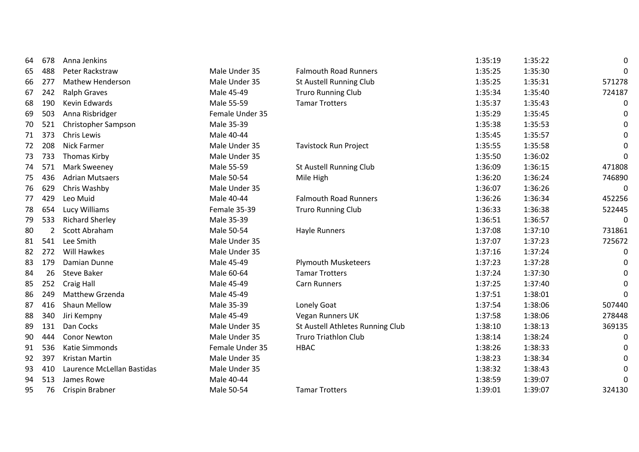| 64 | 678            | Anna Jenkins               |                 |                                  | 1:35:19 | 1:35:22 | 0      |
|----|----------------|----------------------------|-----------------|----------------------------------|---------|---------|--------|
| 65 | 488            | Peter Rackstraw            | Male Under 35   | <b>Falmouth Road Runners</b>     | 1:35:25 | 1:35:30 | 0      |
| 66 | 277            | <b>Mathew Henderson</b>    | Male Under 35   | St Austell Running Club          | 1:35:25 | 1:35:31 | 571278 |
| 67 | 242            | <b>Ralph Graves</b>        | Male 45-49      | <b>Truro Running Club</b>        | 1:35:34 | 1:35:40 | 724187 |
| 68 | 190            | Kevin Edwards              | Male 55-59      | <b>Tamar Trotters</b>            | 1:35:37 | 1:35:43 | 0      |
| 69 | 503            | Anna Risbridger            | Female Under 35 |                                  | 1:35:29 | 1:35:45 | 0      |
| 70 | 521            | Christopher Sampson        | Male 35-39      |                                  | 1:35:38 | 1:35:53 | 0      |
| 71 | 373            | Chris Lewis                | Male 40-44      |                                  | 1:35:45 | 1:35:57 | 0      |
| 72 | 208            | <b>Nick Farmer</b>         | Male Under 35   | <b>Tavistock Run Project</b>     | 1:35:55 | 1:35:58 | 0      |
| 73 | 733            | <b>Thomas Kirby</b>        | Male Under 35   |                                  | 1:35:50 | 1:36:02 | 0      |
| 74 | 571            | <b>Mark Sweeney</b>        | Male 55-59      | St Austell Running Club          | 1:36:09 | 1:36:15 | 471808 |
| 75 | 436            | <b>Adrian Mutsaers</b>     | Male 50-54      | Mile High                        | 1:36:20 | 1:36:24 | 746890 |
| 76 | 629            | Chris Washby               | Male Under 35   |                                  | 1:36:07 | 1:36:26 | 0      |
| 77 | 429            | Leo Muid                   | Male 40-44      | <b>Falmouth Road Runners</b>     | 1:36:26 | 1:36:34 | 452256 |
| 78 | 654            | Lucy Williams              | Female 35-39    | <b>Truro Running Club</b>        | 1:36:33 | 1:36:38 | 522445 |
| 79 | 533            | <b>Richard Sherley</b>     | Male 35-39      |                                  | 1:36:51 | 1:36:57 | 0      |
| 80 | $\overline{2}$ | Scott Abraham              | Male 50-54      | Hayle Runners                    | 1:37:08 | 1:37:10 | 731861 |
| 81 | 541            | Lee Smith                  | Male Under 35   |                                  | 1:37:07 | 1:37:23 | 725672 |
| 82 | 272            | Will Hawkes                | Male Under 35   |                                  | 1:37:16 | 1:37:24 | 0      |
| 83 | 179            | Damian Dunne               | Male 45-49      | <b>Plymouth Musketeers</b>       | 1:37:23 | 1:37:28 | 0      |
| 84 | 26             | <b>Steve Baker</b>         | Male 60-64      | <b>Tamar Trotters</b>            | 1:37:24 | 1:37:30 | 0      |
| 85 | 252            | Craig Hall                 | Male 45-49      | <b>Carn Runners</b>              | 1:37:25 | 1:37:40 | 0      |
| 86 | 249            | Matthew Grzenda            | Male 45-49      |                                  | 1:37:51 | 1:38:01 | 0      |
| 87 | 416            | Shaun Mellow               | Male 35-39      | Lonely Goat                      | 1:37:54 | 1:38:06 | 507440 |
| 88 | 340            | Jiri Kempny                | Male 45-49      | Vegan Runners UK                 | 1:37:58 | 1:38:06 | 278448 |
| 89 | 131            | Dan Cocks                  | Male Under 35   | St Austell Athletes Running Club | 1:38:10 | 1:38:13 | 369135 |
| 90 | 444            | <b>Conor Newton</b>        | Male Under 35   | <b>Truro Triathlon Club</b>      | 1:38:14 | 1:38:24 | 0      |
| 91 | 536            | <b>Katie Simmonds</b>      | Female Under 35 | <b>HBAC</b>                      | 1:38:26 | 1:38:33 | 0      |
| 92 | 397            | Kristan Martin             | Male Under 35   |                                  | 1:38:23 | 1:38:34 | 0      |
| 93 | 410            | Laurence McLellan Bastidas | Male Under 35   |                                  | 1:38:32 | 1:38:43 | 0      |
| 94 | 513            | James Rowe                 | Male 40-44      |                                  | 1:38:59 | 1:39:07 | 0      |
| 95 | 76             | Crispin Brabner            | Male 50-54      | <b>Tamar Trotters</b>            | 1:39:01 | 1:39:07 | 324130 |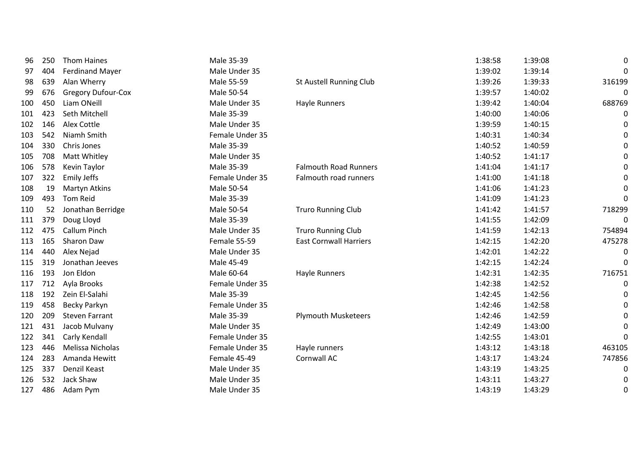| 96  | 250 | <b>Thom Haines</b>        | Male 35-39      |                               | 1:38:58 | 1:39:08 | 0      |
|-----|-----|---------------------------|-----------------|-------------------------------|---------|---------|--------|
| 97  | 404 | <b>Ferdinand Mayer</b>    | Male Under 35   |                               | 1:39:02 | 1:39:14 | 0      |
| 98  | 639 | Alan Wherry               | Male 55-59      | St Austell Running Club       | 1:39:26 | 1:39:33 | 316199 |
| 99  | 676 | <b>Gregory Dufour-Cox</b> | Male 50-54      |                               | 1:39:57 | 1:40:02 | 0      |
| 100 | 450 | Liam ONeill               | Male Under 35   | <b>Hayle Runners</b>          | 1:39:42 | 1:40:04 | 688769 |
| 101 | 423 | Seth Mitchell             | Male 35-39      |                               | 1:40:00 | 1:40:06 | 0      |
| 102 | 146 | <b>Alex Cottle</b>        | Male Under 35   |                               | 1:39:59 | 1:40:15 | 0      |
| 103 | 542 | Niamh Smith               | Female Under 35 |                               | 1:40:31 | 1:40:34 | 0      |
| 104 | 330 | Chris Jones               | Male 35-39      |                               | 1:40:52 | 1:40:59 | 0      |
| 105 | 708 | Matt Whitley              | Male Under 35   |                               | 1:40:52 | 1:41:17 | 0      |
| 106 | 578 | Kevin Taylor              | Male 35-39      | <b>Falmouth Road Runners</b>  | 1:41:04 | 1:41:17 | 0      |
| 107 | 322 | <b>Emily Jeffs</b>        | Female Under 35 | Falmouth road runners         | 1:41:00 | 1:41:18 | 0      |
| 108 | 19  | Martyn Atkins             | Male 50-54      |                               | 1:41:06 | 1:41:23 | 0      |
| 109 | 493 | <b>Tom Reid</b>           | Male 35-39      |                               | 1:41:09 | 1:41:23 | 0      |
| 110 | 52  | Jonathan Berridge         | Male 50-54      | <b>Truro Running Club</b>     | 1:41:42 | 1:41:57 | 718299 |
| 111 | 379 | Doug Lloyd                | Male 35-39      |                               | 1:41:55 | 1:42:09 | 0      |
| 112 | 475 | <b>Callum Pinch</b>       | Male Under 35   | <b>Truro Running Club</b>     | 1:41:59 | 1:42:13 | 754894 |
| 113 | 165 | Sharon Daw                | Female 55-59    | <b>East Cornwall Harriers</b> | 1:42:15 | 1:42:20 | 475278 |
| 114 | 440 | Alex Nejad                | Male Under 35   |                               | 1:42:01 | 1:42:22 | 0      |
| 115 | 319 | Jonathan Jeeves           | Male 45-49      |                               | 1:42:15 | 1:42:24 | 0      |
| 116 | 193 | Jon Eldon                 | Male 60-64      | Hayle Runners                 | 1:42:31 | 1:42:35 | 716751 |
| 117 | 712 | Ayla Brooks               | Female Under 35 |                               | 1:42:38 | 1:42:52 | 0      |
| 118 | 192 | Zein El-Salahi            | Male 35-39      |                               | 1:42:45 | 1:42:56 | 0      |
| 119 | 458 | Becky Parkyn              | Female Under 35 |                               | 1:42:46 | 1:42:58 | 0      |
| 120 | 209 | <b>Steven Farrant</b>     | Male 35-39      | <b>Plymouth Musketeers</b>    | 1:42:46 | 1:42:59 | 0      |
| 121 | 431 | Jacob Mulvany             | Male Under 35   |                               | 1:42:49 | 1:43:00 | 0      |
| 122 | 341 | Carly Kendall             | Female Under 35 |                               | 1:42:55 | 1:43:01 | 0      |
| 123 | 446 | Melissa Nicholas          | Female Under 35 | Hayle runners                 | 1:43:12 | 1:43:18 | 463105 |
| 124 | 283 | Amanda Hewitt             | Female 45-49    | Cornwall AC                   | 1:43:17 | 1:43:24 | 747856 |
| 125 | 337 | Denzil Keast              | Male Under 35   |                               | 1:43:19 | 1:43:25 | 0      |
| 126 | 532 | Jack Shaw                 | Male Under 35   |                               | 1:43:11 | 1:43:27 | 0      |
| 127 | 486 | Adam Pym                  | Male Under 35   |                               | 1:43:19 | 1:43:29 | 0      |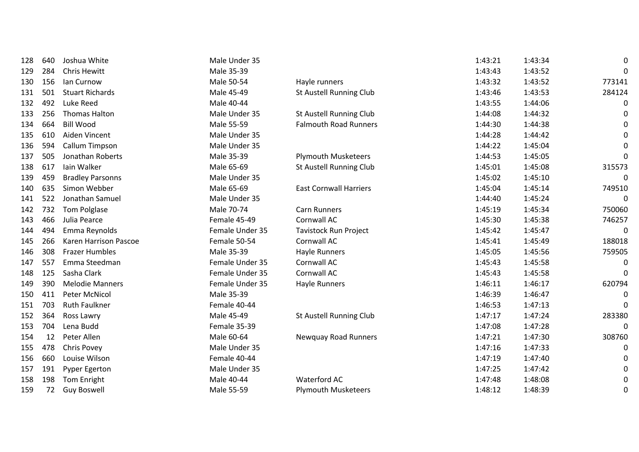| 128 | 640 | Joshua White            | Male Under 35   |                               | 1:43:21 | 1:43:34 | 0      |
|-----|-----|-------------------------|-----------------|-------------------------------|---------|---------|--------|
| 129 | 284 | <b>Chris Hewitt</b>     | Male 35-39      |                               | 1:43:43 | 1:43:52 | 0      |
| 130 | 156 | Ian Curnow              | Male 50-54      | Hayle runners                 | 1:43:32 | 1:43:52 | 773141 |
| 131 | 501 | <b>Stuart Richards</b>  | Male 45-49      | St Austell Running Club       | 1:43:46 | 1:43:53 | 284124 |
| 132 | 492 | Luke Reed               | Male 40-44      |                               | 1:43:55 | 1:44:06 | 0      |
| 133 | 256 | <b>Thomas Halton</b>    | Male Under 35   | St Austell Running Club       | 1:44:08 | 1:44:32 | 0      |
| 134 | 664 | <b>Bill Wood</b>        | Male 55-59      | <b>Falmouth Road Runners</b>  | 1:44:30 | 1:44:38 | 0      |
| 135 | 610 | Aiden Vincent           | Male Under 35   |                               | 1:44:28 | 1:44:42 | 0      |
| 136 | 594 | Callum Timpson          | Male Under 35   |                               | 1:44:22 | 1:45:04 | 0      |
| 137 | 505 | Jonathan Roberts        | Male 35-39      | <b>Plymouth Musketeers</b>    | 1:44:53 | 1:45:05 | 0      |
| 138 | 617 | lain Walker             | Male 65-69      | St Austell Running Club       | 1:45:01 | 1:45:08 | 315573 |
| 139 | 459 | <b>Bradley Parsonns</b> | Male Under 35   |                               | 1:45:02 | 1:45:10 | 0      |
| 140 | 635 | Simon Webber            | Male 65-69      | <b>East Cornwall Harriers</b> | 1:45:04 | 1:45:14 | 749510 |
| 141 | 522 | Jonathan Samuel         | Male Under 35   |                               | 1:44:40 | 1:45:24 | 0      |
| 142 | 732 | Tom Polglase            | Male 70-74      | Carn Runners                  | 1:45:19 | 1:45:34 | 750060 |
| 143 | 466 | Julia Pearce            | Female 45-49    | Cornwall AC                   | 1:45:30 | 1:45:38 | 746257 |
| 144 | 494 | Emma Reynolds           | Female Under 35 | <b>Tavistock Run Project</b>  | 1:45:42 | 1:45:47 | 0      |
| 145 | 266 | Karen Harrison Pascoe   | Female 50-54    | Cornwall AC                   | 1:45:41 | 1:45:49 | 188018 |
| 146 | 308 | <b>Frazer Humbles</b>   | Male 35-39      | Hayle Runners                 | 1:45:05 | 1:45:56 | 759505 |
| 147 | 557 | Emma Steedman           | Female Under 35 | Cornwall AC                   | 1:45:43 | 1:45:58 | 0      |
| 148 | 125 | Sasha Clark             | Female Under 35 | Cornwall AC                   | 1:45:43 | 1:45:58 | 0      |
| 149 | 390 | <b>Melodie Manners</b>  | Female Under 35 | Hayle Runners                 | 1:46:11 | 1:46:17 | 620794 |
| 150 | 411 | <b>Peter McNicol</b>    | Male 35-39      |                               | 1:46:39 | 1:46:47 | 0      |
| 151 | 703 | <b>Ruth Faulkner</b>    | Female 40-44    |                               | 1:46:53 | 1:47:13 | 0      |
| 152 | 364 | Ross Lawry              | Male 45-49      | St Austell Running Club       | 1:47:17 | 1:47:24 | 283380 |
| 153 | 704 | Lena Budd               | Female 35-39    |                               | 1:47:08 | 1:47:28 | 0      |
| 154 | 12  | Peter Allen             | Male 60-64      | <b>Newquay Road Runners</b>   | 1:47:21 | 1:47:30 | 308760 |
| 155 | 478 | Chris Povey             | Male Under 35   |                               | 1:47:16 | 1:47:33 | 0      |
| 156 | 660 | Louise Wilson           | Female 40-44    |                               | 1:47:19 | 1:47:40 | 0      |
| 157 | 191 | <b>Pyper Egerton</b>    | Male Under 35   |                               | 1:47:25 | 1:47:42 | 0      |
| 158 | 198 | Tom Enright             | Male 40-44      | Waterford AC                  | 1:47:48 | 1:48:08 | 0      |
| 159 | 72  | <b>Guy Boswell</b>      | Male 55-59      | <b>Plymouth Musketeers</b>    | 1:48:12 | 1:48:39 | 0      |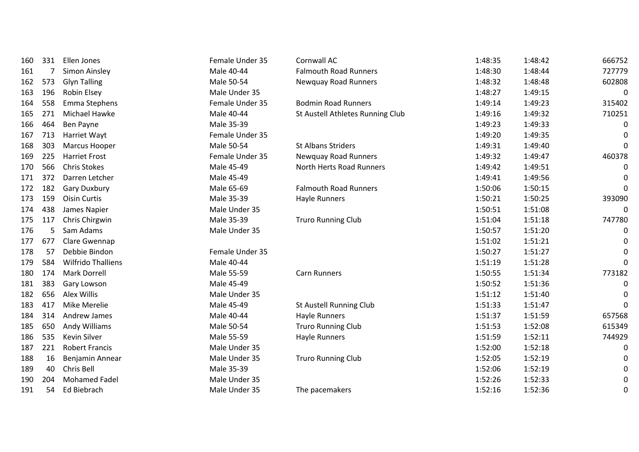| 160 | 331            | Ellen Jones               | Female Under 35 | Cornwall AC                      | 1:48:35 | 1:48:42 | 666752 |
|-----|----------------|---------------------------|-----------------|----------------------------------|---------|---------|--------|
| 161 | $\overline{7}$ | Simon Ainsley             | Male 40-44      | <b>Falmouth Road Runners</b>     | 1:48:30 | 1:48:44 | 727779 |
| 162 | 573            | <b>Glyn Talling</b>       | Male 50-54      | <b>Newquay Road Runners</b>      | 1:48:32 | 1:48:48 | 602808 |
| 163 | 196            | Robin Elsey               | Male Under 35   |                                  | 1:48:27 | 1:49:15 | 0      |
| 164 | 558            | Emma Stephens             | Female Under 35 | <b>Bodmin Road Runners</b>       | 1:49:14 | 1:49:23 | 315402 |
| 165 | 271            | Michael Hawke             | Male 40-44      | St Austell Athletes Running Club | 1:49:16 | 1:49:32 | 710251 |
| 166 | 464            | Ben Payne                 | Male 35-39      |                                  | 1:49:23 | 1:49:33 | 0      |
| 167 | 713            | Harriet Wayt              | Female Under 35 |                                  | 1:49:20 | 1:49:35 | 0      |
| 168 | 303            | Marcus Hooper             | Male 50-54      | St Albans Striders               | 1:49:31 | 1:49:40 | 0      |
| 169 | 225            | <b>Harriet Frost</b>      | Female Under 35 | Newquay Road Runners             | 1:49:32 | 1:49:47 | 460378 |
| 170 | 566            | <b>Chris Stokes</b>       | Male 45-49      | North Herts Road Runners         | 1:49:42 | 1:49:51 | 0      |
| 171 | 372            | Darren Letcher            | Male 45-49      |                                  | 1:49:41 | 1:49:56 | 0      |
| 172 | 182            | <b>Gary Duxbury</b>       | Male 65-69      | <b>Falmouth Road Runners</b>     | 1:50:06 | 1:50:15 | 0      |
| 173 | 159            | <b>Oisin Curtis</b>       | Male 35-39      | <b>Hayle Runners</b>             | 1:50:21 | 1:50:25 | 393090 |
| 174 | 438            | James Napier              | Male Under 35   |                                  | 1:50:51 | 1:51:08 | 0      |
| 175 | 117            | Chris Chirgwin            | Male 35-39      | <b>Truro Running Club</b>        | 1:51:04 | 1:51:18 | 747780 |
| 176 | 5              | Sam Adams                 | Male Under 35   |                                  | 1:50:57 | 1:51:20 | 0      |
| 177 | 677            | Clare Gwennap             |                 |                                  | 1:51:02 | 1:51:21 | 0      |
| 178 | 57             | Debbie Bindon             | Female Under 35 |                                  | 1:50:27 | 1:51:27 | 0      |
| 179 | 584            | <b>Wilfrido Thalliens</b> | Male 40-44      |                                  | 1:51:19 | 1:51:28 | 0      |
| 180 | 174            | <b>Mark Dorrell</b>       | Male 55-59      | <b>Carn Runners</b>              | 1:50:55 | 1:51:34 | 773182 |
| 181 | 383            | Gary Lowson               | Male 45-49      |                                  | 1:50:52 | 1:51:36 | 0      |
| 182 | 656            | Alex Willis               | Male Under 35   |                                  | 1:51:12 | 1:51:40 | 0      |
| 183 | 417            | Mike Merelie              | Male 45-49      | <b>St Austell Running Club</b>   | 1:51:33 | 1:51:47 | 0      |
| 184 | 314            | Andrew James              | Male 40-44      | Hayle Runners                    | 1:51:37 | 1:51:59 | 657568 |
| 185 | 650            | Andy Williams             | Male 50-54      | <b>Truro Running Club</b>        | 1:51:53 | 1:52:08 | 615349 |
| 186 | 535            | Kevin Silver              | Male 55-59      | <b>Hayle Runners</b>             | 1:51:59 | 1:52:11 | 744929 |
| 187 | 221            | <b>Robert Francis</b>     | Male Under 35   |                                  | 1:52:00 | 1:52:18 | 0      |
| 188 | 16             | Benjamin Annear           | Male Under 35   | <b>Truro Running Club</b>        | 1:52:05 | 1:52:19 | 0      |
| 189 | 40             | Chris Bell                | Male 35-39      |                                  | 1:52:06 | 1:52:19 | 0      |
| 190 | 204            | <b>Mohamed Fadel</b>      | Male Under 35   |                                  | 1:52:26 | 1:52:33 | 0      |
| 191 | 54             | Ed Biebrach               | Male Under 35   | The pacemakers                   | 1:52:16 | 1:52:36 | 0      |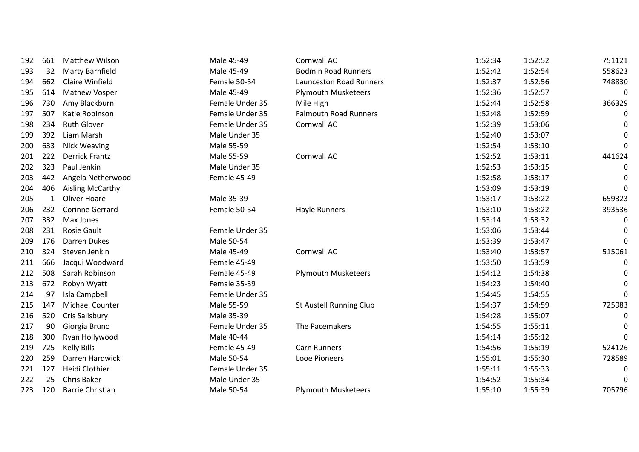| 192 | 661          | <b>Matthew Wilson</b>   | Male 45-49      | Cornwall AC                    | 1:52:34 | 1:52:52 | 751121 |
|-----|--------------|-------------------------|-----------------|--------------------------------|---------|---------|--------|
| 193 | 32           | <b>Marty Barnfield</b>  | Male 45-49      | <b>Bodmin Road Runners</b>     | 1:52:42 | 1:52:54 | 558623 |
| 194 | 662          | Claire Winfield         | Female 50-54    | <b>Launceston Road Runners</b> | 1:52:37 | 1:52:56 | 748830 |
| 195 | 614          | <b>Mathew Vosper</b>    | Male 45-49      | <b>Plymouth Musketeers</b>     | 1:52:36 | 1:52:57 | 0      |
| 196 | 730          | Amy Blackburn           | Female Under 35 | Mile High                      | 1:52:44 | 1:52:58 | 366329 |
| 197 | 507          | Katie Robinson          | Female Under 35 | <b>Falmouth Road Runners</b>   | 1:52:48 | 1:52:59 | 0      |
| 198 | 234          | <b>Ruth Glover</b>      | Female Under 35 | Cornwall AC                    | 1:52:39 | 1:53:06 | 0      |
| 199 | 392          | Liam Marsh              | Male Under 35   |                                | 1:52:40 | 1:53:07 | 0      |
| 200 | 633          | <b>Nick Weaving</b>     | Male 55-59      |                                | 1:52:54 | 1:53:10 | 0      |
| 201 | 222          | <b>Derrick Frantz</b>   | Male 55-59      | Cornwall AC                    | 1:52:52 | 1:53:11 | 441624 |
| 202 | 323          | Paul Jenkin             | Male Under 35   |                                | 1:52:53 | 1:53:15 | 0      |
| 203 | 442          | Angela Netherwood       | Female 45-49    |                                | 1:52:58 | 1:53:17 | 0      |
| 204 | 406          | Aisling McCarthy        |                 |                                | 1:53:09 | 1:53:19 | 0      |
| 205 | $\mathbf{1}$ | Oliver Hoare            | Male 35-39      |                                | 1:53:17 | 1:53:22 | 659323 |
| 206 | 232          | <b>Corinne Gerrard</b>  | Female 50-54    | Hayle Runners                  | 1:53:10 | 1:53:22 | 393536 |
| 207 | 332          | Max Jones               |                 |                                | 1:53:14 | 1:53:32 | 0      |
| 208 | 231          | <b>Rosie Gault</b>      | Female Under 35 |                                | 1:53:06 | 1:53:44 | 0      |
| 209 | 176          | Darren Dukes            | Male 50-54      |                                | 1:53:39 | 1:53:47 | 0      |
| 210 | 324          | Steven Jenkin           | Male 45-49      | Cornwall AC                    | 1:53:40 | 1:53:57 | 515061 |
| 211 | 666          | Jacqui Woodward         | Female 45-49    |                                | 1:53:50 | 1:53:59 | 0      |
| 212 | 508          | Sarah Robinson          | Female 45-49    | <b>Plymouth Musketeers</b>     | 1:54:12 | 1:54:38 | 0      |
| 213 | 672          | Robyn Wyatt             | Female 35-39    |                                | 1:54:23 | 1:54:40 | 0      |
| 214 | 97           | Isla Campbell           | Female Under 35 |                                | 1:54:45 | 1:54:55 | 0      |
| 215 | 147          | Michael Counter         | Male 55-59      | St Austell Running Club        | 1:54:37 | 1:54:59 | 725983 |
| 216 | 520          | Cris Salisbury          | Male 35-39      |                                | 1:54:28 | 1:55:07 | 0      |
| 217 | 90           | Giorgia Bruno           | Female Under 35 | The Pacemakers                 | 1:54:55 | 1:55:11 | 0      |
| 218 | 300          | Ryan Hollywood          | Male 40-44      |                                | 1:54:14 | 1:55:12 | 0      |
| 219 | 725          | <b>Kelly Bills</b>      | Female 45-49    | <b>Carn Runners</b>            | 1:54:56 | 1:55:19 | 524126 |
| 220 | 259          | Darren Hardwick         | Male 50-54      | Looe Pioneers                  | 1:55:01 | 1:55:30 | 728589 |
| 221 | 127          | Heidi Clothier          | Female Under 35 |                                | 1:55:11 | 1:55:33 | 0      |
| 222 | 25           | Chris Baker             | Male Under 35   |                                | 1:54:52 | 1:55:34 | 0      |
| 223 | 120          | <b>Barrie Christian</b> | Male 50-54      | <b>Plymouth Musketeers</b>     | 1:55:10 | 1:55:39 | 705796 |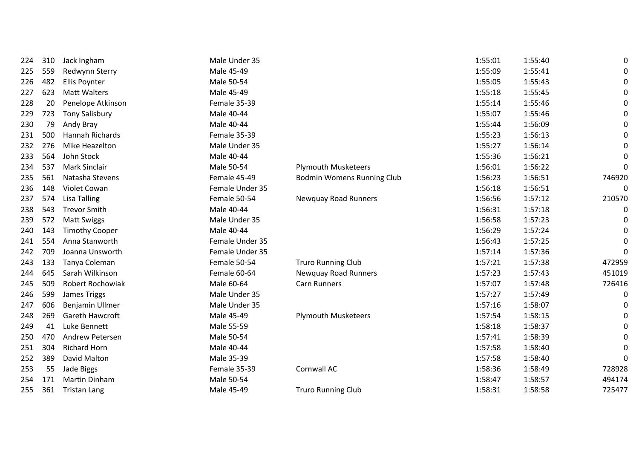| 224 | 310 | Jack Ingham             | Male Under 35   |                                   | 1:55:01 | 1:55:40 | 0            |
|-----|-----|-------------------------|-----------------|-----------------------------------|---------|---------|--------------|
| 225 | 559 | Redwynn Sterry          | Male 45-49      |                                   | 1:55:09 | 1:55:41 | 0            |
| 226 | 482 | <b>Ellis Poynter</b>    | Male 50-54      |                                   | 1:55:05 | 1:55:43 | 0            |
| 227 | 623 | <b>Matt Walters</b>     | Male 45-49      |                                   | 1:55:18 | 1:55:45 | 0            |
| 228 | 20  | Penelope Atkinson       | Female 35-39    |                                   | 1:55:14 | 1:55:46 | 0            |
| 229 | 723 | <b>Tony Salisbury</b>   | Male 40-44      |                                   | 1:55:07 | 1:55:46 | 0            |
| 230 | 79  | Andy Bray               | Male 40-44      |                                   | 1:55:44 | 1:56:09 | 0            |
| 231 | 500 | <b>Hannah Richards</b>  | Female 35-39    |                                   | 1:55:23 | 1:56:13 | 0            |
| 232 | 276 | Mike Heazelton          | Male Under 35   |                                   | 1:55:27 | 1:56:14 | 0            |
| 233 | 564 | John Stock              | Male 40-44      |                                   | 1:55:36 | 1:56:21 | 0            |
| 234 | 537 | <b>Mark Sinclair</b>    | Male 50-54      | <b>Plymouth Musketeers</b>        | 1:56:01 | 1:56:22 | $\mathbf{0}$ |
| 235 | 561 | Natasha Stevens         | Female 45-49    | <b>Bodmin Womens Running Club</b> | 1:56:23 | 1:56:51 | 746920       |
| 236 | 148 | Violet Cowan            | Female Under 35 |                                   | 1:56:18 | 1:56:51 | 0            |
| 237 | 574 | <b>Lisa Talling</b>     | Female 50-54    | Newquay Road Runners              | 1:56:56 | 1:57:12 | 210570       |
| 238 | 543 | <b>Trevor Smith</b>     | Male 40-44      |                                   | 1:56:31 | 1:57:18 | 0            |
| 239 | 572 | <b>Matt Swiggs</b>      | Male Under 35   |                                   | 1:56:58 | 1:57:23 | 0            |
| 240 | 143 | <b>Timothy Cooper</b>   | Male 40-44      |                                   | 1:56:29 | 1:57:24 | 0            |
| 241 | 554 | Anna Stanworth          | Female Under 35 |                                   | 1:56:43 | 1:57:25 | 0            |
| 242 | 709 | Joanna Unsworth         | Female Under 35 |                                   | 1:57:14 | 1:57:36 | 0            |
| 243 | 133 | Tanya Coleman           | Female 50-54    | <b>Truro Running Club</b>         | 1:57:21 | 1:57:38 | 472959       |
| 244 | 645 | Sarah Wilkinson         | Female 60-64    | <b>Newquay Road Runners</b>       | 1:57:23 | 1:57:43 | 451019       |
| 245 | 509 | <b>Robert Rochowiak</b> | Male 60-64      | Carn Runners                      | 1:57:07 | 1:57:48 | 726416       |
| 246 | 599 | James Triggs            | Male Under 35   |                                   | 1:57:27 | 1:57:49 | 0            |
| 247 | 606 | Benjamin Ullmer         | Male Under 35   |                                   | 1:57:16 | 1:58:07 | 0            |
| 248 | 269 | Gareth Hawcroft         | Male 45-49      | <b>Plymouth Musketeers</b>        | 1:57:54 | 1:58:15 | 0            |
| 249 | 41  | Luke Bennett            | Male 55-59      |                                   | 1:58:18 | 1:58:37 | 0            |
| 250 | 470 | Andrew Petersen         | Male 50-54      |                                   | 1:57:41 | 1:58:39 | 0            |
| 251 | 304 | <b>Richard Horn</b>     | Male 40-44      |                                   | 1:57:58 | 1:58:40 | 0            |
| 252 | 389 | David Malton            | Male 35-39      |                                   | 1:57:58 | 1:58:40 | 0            |
| 253 | 55  | Jade Biggs              | Female 35-39    | Cornwall AC                       | 1:58:36 | 1:58:49 | 728928       |
| 254 | 171 | Martin Dinham           | Male 50-54      |                                   | 1:58:47 | 1:58:57 | 494174       |
| 255 | 361 | <b>Tristan Lang</b>     | Male 45-49      | <b>Truro Running Club</b>         | 1:58:31 | 1:58:58 | 725477       |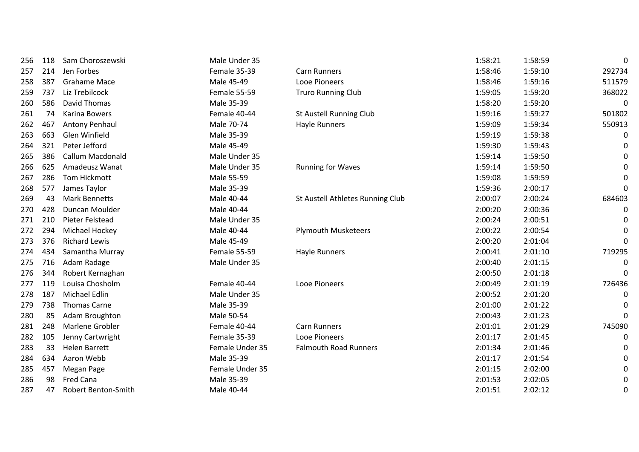| 256 | 118 | Sam Choroszewski        | Male Under 35   |                                  | 1:58:21 | 1:58:59 | 0      |
|-----|-----|-------------------------|-----------------|----------------------------------|---------|---------|--------|
| 257 | 214 | Jen Forbes              | Female 35-39    | <b>Carn Runners</b>              | 1:58:46 | 1:59:10 | 292734 |
| 258 | 387 | <b>Grahame Mace</b>     | Male 45-49      | Looe Pioneers                    | 1:58:46 | 1:59:16 | 511579 |
| 259 | 737 | Liz Trebilcock          | Female 55-59    | <b>Truro Running Club</b>        | 1:59:05 | 1:59:20 | 368022 |
| 260 | 586 | David Thomas            | Male 35-39      |                                  | 1:58:20 | 1:59:20 | 0      |
| 261 | 74  | Karina Bowers           | Female 40-44    | St Austell Running Club          | 1:59:16 | 1:59:27 | 501802 |
| 262 | 467 | Antony Penhaul          | Male 70-74      | Hayle Runners                    | 1:59:09 | 1:59:34 | 550913 |
| 263 | 663 | Glen Winfield           | Male 35-39      |                                  | 1:59:19 | 1:59:38 | 0      |
| 264 | 321 | Peter Jefford           | Male 45-49      |                                  | 1:59:30 | 1:59:43 | 0      |
| 265 | 386 | <b>Callum Macdonald</b> | Male Under 35   |                                  | 1:59:14 | 1:59:50 | 0      |
| 266 | 625 | Amadeusz Wanat          | Male Under 35   | <b>Running for Waves</b>         | 1:59:14 | 1:59:50 | 0      |
| 267 | 286 | <b>Tom Hickmott</b>     | Male 55-59      |                                  | 1:59:08 | 1:59:59 | 0      |
| 268 | 577 | James Taylor            | Male 35-39      |                                  | 1:59:36 | 2:00:17 | 0      |
| 269 | 43  | <b>Mark Bennetts</b>    | Male 40-44      | St Austell Athletes Running Club | 2:00:07 | 2:00:24 | 684603 |
| 270 | 428 | Duncan Moulder          | Male 40-44      |                                  | 2:00:20 | 2:00:36 | 0      |
| 271 | 210 | Pieter Felstead         | Male Under 35   |                                  | 2:00:24 | 2:00:51 | 0      |
| 272 | 294 | Michael Hockey          | Male 40-44      | <b>Plymouth Musketeers</b>       | 2:00:22 | 2:00:54 | 0      |
| 273 | 376 | <b>Richard Lewis</b>    | Male 45-49      |                                  | 2:00:20 | 2:01:04 | 0      |
| 274 | 434 | Samantha Murray         | Female 55-59    | Hayle Runners                    | 2:00:41 | 2:01:10 | 719295 |
| 275 | 716 | Adam Radage             | Male Under 35   |                                  | 2:00:40 | 2:01:15 | 0      |
| 276 | 344 | Robert Kernaghan        |                 |                                  | 2:00:50 | 2:01:18 | 0      |
| 277 | 119 | Louisa Chosholm         | Female 40-44    | Looe Pioneers                    | 2:00:49 | 2:01:19 | 726436 |
| 278 | 187 | <b>Michael Edlin</b>    | Male Under 35   |                                  | 2:00:52 | 2:01:20 | 0      |
| 279 | 738 | <b>Thomas Carne</b>     | Male 35-39      |                                  | 2:01:00 | 2:01:22 | 0      |
| 280 | 85  | Adam Broughton          | Male 50-54      |                                  | 2:00:43 | 2:01:23 | 0      |
| 281 | 248 | Marlene Grobler         | Female 40-44    | <b>Carn Runners</b>              | 2:01:01 | 2:01:29 | 745090 |
| 282 | 105 | Jenny Cartwright        | Female 35-39    | Looe Pioneers                    | 2:01:17 | 2:01:45 | 0      |
| 283 | 33  | <b>Helen Barrett</b>    | Female Under 35 | <b>Falmouth Road Runners</b>     | 2:01:34 | 2:01:46 | 0      |
| 284 | 634 | Aaron Webb              | Male 35-39      |                                  | 2:01:17 | 2:01:54 | 0      |
| 285 | 457 | Megan Page              | Female Under 35 |                                  | 2:01:15 | 2:02:00 | 0      |
| 286 | 98  | Fred Cana               | Male 35-39      |                                  | 2:01:53 | 2:02:05 | 0      |
| 287 | 47  | Robert Benton-Smith     | Male 40-44      |                                  | 2:01:51 | 2:02:12 | 0      |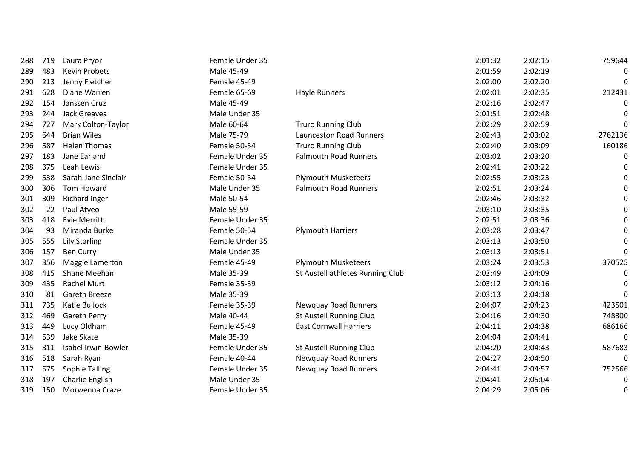| 288 | 719 | Laura Pryor           | Female Under 35 |                                  | 2:01:32 | 2:02:15 | 759644  |
|-----|-----|-----------------------|-----------------|----------------------------------|---------|---------|---------|
| 289 | 483 | Kevin Probets         | Male 45-49      |                                  | 2:01:59 | 2:02:19 | 0       |
| 290 | 213 | Jenny Fletcher        | Female 45-49    |                                  | 2:02:00 | 2:02:20 | 0       |
| 291 | 628 | Diane Warren          | Female 65-69    | Hayle Runners                    | 2:02:01 | 2:02:35 | 212431  |
| 292 | 154 | Janssen Cruz          | Male 45-49      |                                  | 2:02:16 | 2:02:47 | 0       |
| 293 | 244 | <b>Jack Greaves</b>   | Male Under 35   |                                  | 2:01:51 | 2:02:48 | 0       |
| 294 | 727 | Mark Colton-Taylor    | Male 60-64      | <b>Truro Running Club</b>        | 2:02:29 | 2:02:59 | 0       |
| 295 | 644 | <b>Brian Wiles</b>    | Male 75-79      | <b>Launceston Road Runners</b>   | 2:02:43 | 2:03:02 | 2762136 |
| 296 | 587 | <b>Helen Thomas</b>   | Female 50-54    | <b>Truro Running Club</b>        | 2:02:40 | 2:03:09 | 160186  |
| 297 | 183 | Jane Earland          | Female Under 35 | <b>Falmouth Road Runners</b>     | 2:03:02 | 2:03:20 | 0       |
| 298 | 375 | Leah Lewis            | Female Under 35 |                                  | 2:02:41 | 2:03:22 | 0       |
| 299 | 538 | Sarah-Jane Sinclair   | Female 50-54    | <b>Plymouth Musketeers</b>       | 2:02:55 | 2:03:23 | 0       |
| 300 | 306 | Tom Howard            | Male Under 35   | <b>Falmouth Road Runners</b>     | 2:02:51 | 2:03:24 | 0       |
| 301 | 309 | <b>Richard Inger</b>  | Male 50-54      |                                  | 2:02:46 | 2:03:32 | 0       |
| 302 | 22  | Paul Atyeo            | Male 55-59      |                                  | 2:03:10 | 2:03:35 | 0       |
| 303 | 418 | <b>Evie Merritt</b>   | Female Under 35 |                                  | 2:02:51 | 2:03:36 | 0       |
| 304 | 93  | Miranda Burke         | Female 50-54    | <b>Plymouth Harriers</b>         | 2:03:28 | 2:03:47 | 0       |
| 305 | 555 | <b>Lily Starling</b>  | Female Under 35 |                                  | 2:03:13 | 2:03:50 | 0       |
| 306 | 157 | <b>Ben Curry</b>      | Male Under 35   |                                  | 2:03:13 | 2:03:51 | 0       |
| 307 | 356 | Maggie Lamerton       | Female 45-49    | <b>Plymouth Musketeers</b>       | 2:03:24 | 2:03:53 | 370525  |
| 308 | 415 | Shane Meehan          | Male 35-39      | St Austell athletes Running Club | 2:03:49 | 2:04:09 | 0       |
| 309 | 435 | <b>Rachel Murt</b>    | Female 35-39    |                                  | 2:03:12 | 2:04:16 | 0       |
| 310 | 81  | Gareth Breeze         | Male 35-39      |                                  | 2:03:13 | 2:04:18 | 0       |
| 311 | 735 | Katie Bullock         | Female 35-39    | <b>Newquay Road Runners</b>      | 2:04:07 | 2:04:23 | 423501  |
| 312 | 469 | Gareth Perry          | Male 40-44      | St Austell Running Club          | 2:04:16 | 2:04:30 | 748300  |
| 313 | 449 | Lucy Oldham           | Female 45-49    | <b>East Cornwall Harriers</b>    | 2:04:11 | 2:04:38 | 686166  |
| 314 | 539 | <b>Jake Skate</b>     | Male 35-39      |                                  | 2:04:04 | 2:04:41 | 0       |
| 315 | 311 | Isabel Irwin-Bowler   | Female Under 35 | St Austell Running Club          | 2:04:20 | 2:04:43 | 587683  |
| 316 | 518 | Sarah Ryan            | Female 40-44    | Newquay Road Runners             | 2:04:27 | 2:04:50 | 0       |
| 317 | 575 | <b>Sophie Talling</b> | Female Under 35 | <b>Newquay Road Runners</b>      | 2:04:41 | 2:04:57 | 752566  |
| 318 | 197 | Charlie English       | Male Under 35   |                                  | 2:04:41 | 2:05:04 | 0       |
| 319 | 150 | Morwenna Craze        | Female Under 35 |                                  | 2:04:29 | 2:05:06 | 0       |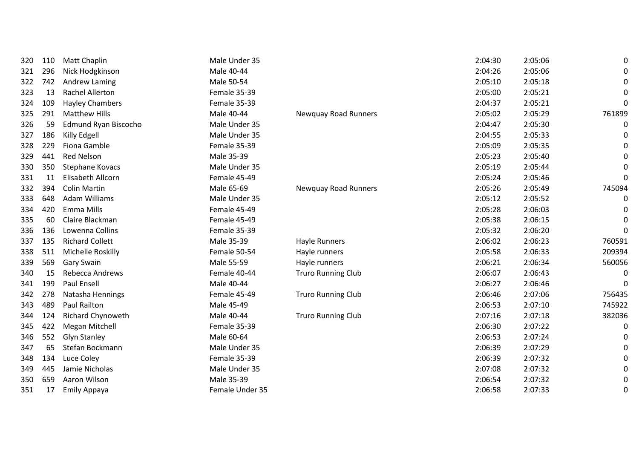| 320 | 110 | <b>Matt Chaplin</b>    | Male Under 35   |                           | 2:04:30 | 2:05:06 | 0        |
|-----|-----|------------------------|-----------------|---------------------------|---------|---------|----------|
| 321 | 296 | Nick Hodgkinson        | Male 40-44      |                           | 2:04:26 | 2:05:06 | 0        |
| 322 | 742 | Andrew Laming          | Male 50-54      |                           | 2:05:10 | 2:05:18 | 0        |
| 323 | 13  | <b>Rachel Allerton</b> | Female 35-39    |                           | 2:05:00 | 2:05:21 | 0        |
| 324 | 109 | <b>Hayley Chambers</b> | Female 35-39    |                           | 2:04:37 | 2:05:21 | 0        |
| 325 | 291 | <b>Matthew Hills</b>   | Male 40-44      | Newquay Road Runners      | 2:05:02 | 2:05:29 | 761899   |
| 326 | 59  | Edmund Ryan Biscocho   | Male Under 35   |                           | 2:04:47 | 2:05:30 | 0        |
| 327 | 186 | Killy Edgell           | Male Under 35   |                           | 2:04:55 | 2:05:33 | 0        |
| 328 | 229 | Fiona Gamble           | Female 35-39    |                           | 2:05:09 | 2:05:35 | 0        |
| 329 | 441 | <b>Red Nelson</b>      | Male 35-39      |                           | 2:05:23 | 2:05:40 | 0        |
| 330 | 350 | Stephane Kovacs        | Male Under 35   |                           | 2:05:19 | 2:05:44 | 0        |
| 331 | 11  | Elisabeth Allcorn      | Female 45-49    |                           | 2:05:24 | 2:05:46 | 0        |
| 332 | 394 | <b>Colin Martin</b>    | Male 65-69      | Newquay Road Runners      | 2:05:26 | 2:05:49 | 745094   |
| 333 | 648 | <b>Adam Williams</b>   | Male Under 35   |                           | 2:05:12 | 2:05:52 | 0        |
| 334 | 420 | Emma Mills             | Female 45-49    |                           | 2:05:28 | 2:06:03 | 0        |
| 335 | 60  | Claire Blackman        | Female 45-49    |                           | 2:05:38 | 2:06:15 | 0        |
| 336 | 136 | Lowenna Collins        | Female 35-39    |                           | 2:05:32 | 2:06:20 | 0        |
| 337 | 135 | <b>Richard Collett</b> | Male 35-39      | <b>Hayle Runners</b>      | 2:06:02 | 2:06:23 | 760591   |
| 338 | 511 | Michelle Roskilly      | Female 50-54    | Hayle runners             | 2:05:58 | 2:06:33 | 209394   |
| 339 | 569 | <b>Gary Swain</b>      | Male 55-59      | Hayle runners             | 2:06:21 | 2:06:34 | 560056   |
| 340 | 15  | Rebecca Andrews        | Female 40-44    | <b>Truro Running Club</b> | 2:06:07 | 2:06:43 | 0        |
| 341 | 199 | Paul Ensell            | Male 40-44      |                           | 2:06:27 | 2:06:46 | $\Omega$ |
| 342 | 278 | Natasha Hennings       | Female 45-49    | <b>Truro Running Club</b> | 2:06:46 | 2:07:06 | 756435   |
| 343 | 489 | Paul Railton           | Male 45-49      |                           | 2:06:53 | 2:07:10 | 745922   |
| 344 | 124 | Richard Chynoweth      | Male 40-44      | <b>Truro Running Club</b> | 2:07:16 | 2:07:18 | 382036   |
| 345 | 422 | <b>Megan Mitchell</b>  | Female 35-39    |                           | 2:06:30 | 2:07:22 | 0        |
| 346 | 552 | <b>Glyn Stanley</b>    | Male 60-64      |                           | 2:06:53 | 2:07:24 | 0        |
| 347 | 65  | Stefan Bockmann        | Male Under 35   |                           | 2:06:39 | 2:07:29 | 0        |
| 348 | 134 | Luce Coley             | Female 35-39    |                           | 2:06:39 | 2:07:32 | 0        |
| 349 | 445 | Jamie Nicholas         | Male Under 35   |                           | 2:07:08 | 2:07:32 | 0        |
| 350 | 659 | Aaron Wilson           | Male 35-39      |                           | 2:06:54 | 2:07:32 | 0        |
| 351 | 17  | <b>Emily Appaya</b>    | Female Under 35 |                           | 2:06:58 | 2:07:33 | 0        |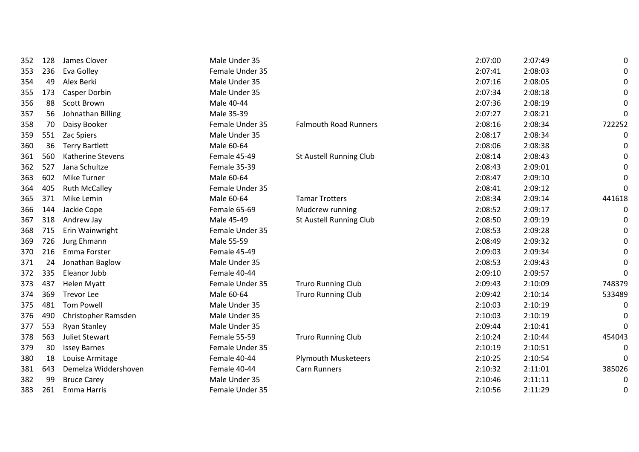| 352 | 128 | James Clover          | Male Under 35   |                                | 2:07:00 | 2:07:49 | 0        |
|-----|-----|-----------------------|-----------------|--------------------------------|---------|---------|----------|
| 353 | 236 | Eva Golley            | Female Under 35 |                                | 2:07:41 | 2:08:03 | 0        |
| 354 | 49  | Alex Berki            | Male Under 35   |                                | 2:07:16 | 2:08:05 | 0        |
| 355 | 173 | Casper Dorbin         | Male Under 35   |                                | 2:07:34 | 2:08:18 | 0        |
| 356 | 88  | Scott Brown           | Male 40-44      |                                | 2:07:36 | 2:08:19 | $\Omega$ |
| 357 | 56  | Johnathan Billing     | Male 35-39      |                                | 2:07:27 | 2:08:21 | $\Omega$ |
| 358 | 70  | Daisy Booker          | Female Under 35 | <b>Falmouth Road Runners</b>   | 2:08:16 | 2:08:34 | 722252   |
| 359 | 551 | Zac Spiers            | Male Under 35   |                                | 2:08:17 | 2:08:34 | 0        |
| 360 | 36  | <b>Terry Bartlett</b> | Male 60-64      |                                | 2:08:06 | 2:08:38 | 0        |
| 361 | 560 | Katherine Stevens     | Female 45-49    | <b>St Austell Running Club</b> | 2:08:14 | 2:08:43 | 0        |
| 362 | 527 | Jana Schultze         | Female 35-39    |                                | 2:08:43 | 2:09:01 | 0        |
| 363 | 602 | <b>Mike Turner</b>    | Male 60-64      |                                | 2:08:47 | 2:09:10 | 0        |
| 364 | 405 | <b>Ruth McCalley</b>  | Female Under 35 |                                | 2:08:41 | 2:09:12 | 0        |
| 365 | 371 | Mike Lemin            | Male 60-64      | <b>Tamar Trotters</b>          | 2:08:34 | 2:09:14 | 441618   |
| 366 | 144 | Jackie Cope           | Female 65-69    | Mudcrew running                | 2:08:52 | 2:09:17 | 0        |
| 367 | 318 | Andrew Jay            | Male 45-49      | <b>St Austell Running Club</b> | 2:08:50 | 2:09:19 | 0        |
| 368 | 715 | Erin Wainwright       | Female Under 35 |                                | 2:08:53 | 2:09:28 | 0        |
| 369 | 726 | Jurg Ehmann           | Male 55-59      |                                | 2:08:49 | 2:09:32 | 0        |
| 370 | 216 | Emma Forster          | Female 45-49    |                                | 2:09:03 | 2:09:34 | 0        |
| 371 | 24  | Jonathan Baglow       | Male Under 35   |                                | 2:08:53 | 2:09:43 | 0        |
| 372 | 335 | Eleanor Jubb          | Female 40-44    |                                | 2:09:10 | 2:09:57 | $\Omega$ |
| 373 | 437 | <b>Helen Myatt</b>    | Female Under 35 | <b>Truro Running Club</b>      | 2:09:43 | 2:10:09 | 748379   |
| 374 | 369 | <b>Trevor Lee</b>     | Male 60-64      | <b>Truro Running Club</b>      | 2:09:42 | 2:10:14 | 533489   |
| 375 | 481 | <b>Tom Powell</b>     | Male Under 35   |                                | 2:10:03 | 2:10:19 | 0        |
| 376 | 490 | Christopher Ramsden   | Male Under 35   |                                | 2:10:03 | 2:10:19 | 0        |
| 377 | 553 | <b>Ryan Stanley</b>   | Male Under 35   |                                | 2:09:44 | 2:10:41 | 0        |
| 378 | 563 | <b>Juliet Stewart</b> | Female 55-59    | <b>Truro Running Club</b>      | 2:10:24 | 2:10:44 | 454043   |
| 379 | 30  | <b>Issey Barnes</b>   | Female Under 35 |                                | 2:10:19 | 2:10:51 | 0        |
| 380 | 18  | Louise Armitage       | Female 40-44    | <b>Plymouth Musketeers</b>     | 2:10:25 | 2:10:54 | 0        |
| 381 | 643 | Demelza Widdershoven  | Female 40-44    | Carn Runners                   | 2:10:32 | 2:11:01 | 385026   |
| 382 | 99  | <b>Bruce Carey</b>    | Male Under 35   |                                | 2:10:46 | 2:11:11 | 0        |
| 383 | 261 | Emma Harris           | Female Under 35 |                                | 2:10:56 | 2:11:29 | 0        |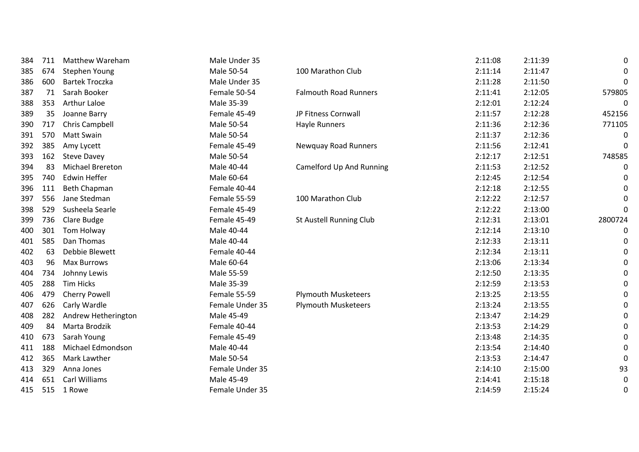| 384 | 711 | <b>Matthew Wareham</b>  | Male Under 35   |                              | 2:11:08 | 2:11:39 | 0       |
|-----|-----|-------------------------|-----------------|------------------------------|---------|---------|---------|
| 385 | 674 | Stephen Young           | Male 50-54      | 100 Marathon Club            | 2:11:14 | 2:11:47 | 0       |
| 386 | 600 | <b>Bartek Troczka</b>   | Male Under 35   |                              | 2:11:28 | 2:11:50 | 0       |
| 387 | 71  | Sarah Booker            | Female 50-54    | <b>Falmouth Road Runners</b> | 2:11:41 | 2:12:05 | 579805  |
| 388 | 353 | <b>Arthur Laloe</b>     | Male 35-39      |                              | 2:12:01 | 2:12:24 | 0       |
| 389 | 35  | Joanne Barry            | Female 45-49    | JP Fitness Cornwall          | 2:11:57 | 2:12:28 | 452156  |
| 390 | 717 | Chris Campbell          | Male 50-54      | Hayle Runners                | 2:11:36 | 2:12:36 | 771105  |
| 391 | 570 | Matt Swain              | Male 50-54      |                              | 2:11:37 | 2:12:36 | 0       |
| 392 | 385 | Amy Lycett              | Female 45-49    | <b>Newquay Road Runners</b>  | 2:11:56 | 2:12:41 | 0       |
| 393 | 162 | <b>Steve Davey</b>      | Male 50-54      |                              | 2:12:17 | 2:12:51 | 748585  |
| 394 | 83  | <b>Michael Brereton</b> | Male 40-44      | Camelford Up And Running     | 2:11:53 | 2:12:52 | 0       |
| 395 | 740 | <b>Edwin Heffer</b>     | Male 60-64      |                              | 2:12:45 | 2:12:54 | 0       |
| 396 | 111 | <b>Beth Chapman</b>     | Female 40-44    |                              | 2:12:18 | 2:12:55 | 0       |
| 397 | 556 | Jane Stedman            | Female 55-59    | 100 Marathon Club            | 2:12:22 | 2:12:57 | 0       |
| 398 | 529 | Susheela Searle         | Female 45-49    |                              | 2:12:22 | 2:13:00 | 0       |
| 399 | 736 | Clare Budge             | Female 45-49    | St Austell Running Club      | 2:12:31 | 2:13:01 | 2800724 |
| 400 | 301 | Tom Holway              | Male 40-44      |                              | 2:12:14 | 2:13:10 | 0       |
| 401 | 585 | Dan Thomas              | Male 40-44      |                              | 2:12:33 | 2:13:11 | 0       |
| 402 | 63  | Debbie Blewett          | Female 40-44    |                              | 2:12:34 | 2:13:11 | 0       |
| 403 | 96  | <b>Max Burrows</b>      | Male 60-64      |                              | 2:13:06 | 2:13:34 | 0       |
| 404 | 734 | Johnny Lewis            | Male 55-59      |                              | 2:12:50 | 2:13:35 | 0       |
| 405 | 288 | <b>Tim Hicks</b>        | Male 35-39      |                              | 2:12:59 | 2:13:53 | 0       |
| 406 | 479 | Cherry Powell           | Female 55-59    | <b>Plymouth Musketeers</b>   | 2:13:25 | 2:13:55 | 0       |
| 407 | 626 | Carly Wardle            | Female Under 35 | <b>Plymouth Musketeers</b>   | 2:13:24 | 2:13:55 | 0       |
| 408 | 282 | Andrew Hetherington     | Male 45-49      |                              | 2:13:47 | 2:14:29 | 0       |
| 409 | 84  | Marta Brodzik           | Female 40-44    |                              | 2:13:53 | 2:14:29 | 0       |
| 410 | 673 | Sarah Young             | Female 45-49    |                              | 2:13:48 | 2:14:35 | 0       |
| 411 | 188 | Michael Edmondson       | Male 40-44      |                              | 2:13:54 | 2:14:40 | 0       |
| 412 | 365 | Mark Lawther            | Male 50-54      |                              | 2:13:53 | 2:14:47 | 0       |
| 413 | 329 | Anna Jones              | Female Under 35 |                              | 2:14:10 | 2:15:00 | 93      |
| 414 | 651 | <b>Carl Williams</b>    | Male 45-49      |                              | 2:14:41 | 2:15:18 | 0       |
| 415 | 515 | 1 Rowe                  | Female Under 35 |                              | 2:14:59 | 2:15:24 | 0       |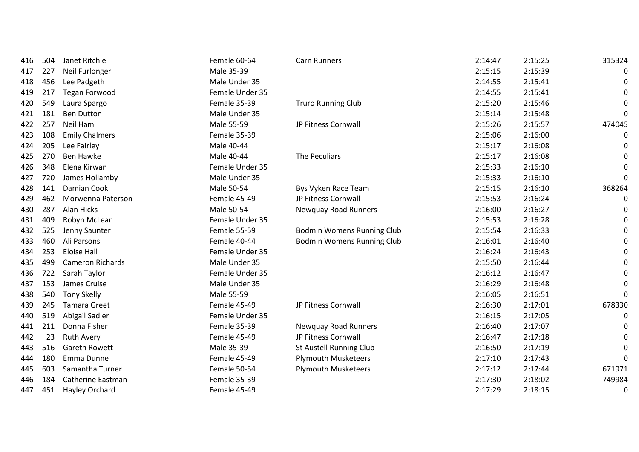| 416 | 504 | Janet Ritchie            | Female 60-64    | <b>Carn Runners</b>               | 2:14:47 | 2:15:25 | 315324   |
|-----|-----|--------------------------|-----------------|-----------------------------------|---------|---------|----------|
| 417 | 227 | Neil Furlonger           | Male 35-39      |                                   | 2:15:15 | 2:15:39 | 0        |
| 418 | 456 | Lee Padgeth              | Male Under 35   |                                   | 2:14:55 | 2:15:41 | 0        |
| 419 | 217 | <b>Tegan Forwood</b>     | Female Under 35 |                                   | 2:14:55 | 2:15:41 | 0        |
| 420 | 549 | Laura Spargo             | Female 35-39    | <b>Truro Running Club</b>         | 2:15:20 | 2:15:46 |          |
| 421 | 181 | <b>Ben Dutton</b>        | Male Under 35   |                                   | 2:15:14 | 2:15:48 | 0        |
| 422 | 257 | Neil Ham                 | Male 55-59      | JP Fitness Cornwall               | 2:15:26 | 2:15:57 | 474045   |
| 423 | 108 | <b>Emily Chalmers</b>    | Female 35-39    |                                   | 2:15:06 | 2:16:00 | 0        |
| 424 | 205 | Lee Fairley              | Male 40-44      |                                   | 2:15:17 | 2:16:08 | 0        |
| 425 | 270 | <b>Ben Hawke</b>         | Male 40-44      | The Peculiars                     | 2:15:17 | 2:16:08 | 0        |
| 426 | 348 | Elena Kirwan             | Female Under 35 |                                   | 2:15:33 | 2:16:10 | 0        |
| 427 | 720 | James Hollamby           | Male Under 35   |                                   | 2:15:33 | 2:16:10 | 0        |
| 428 | 141 | Damian Cook              | Male 50-54      | Bys Vyken Race Team               | 2:15:15 | 2:16:10 | 368264   |
| 429 | 462 | Morwenna Paterson        | Female 45-49    | JP Fitness Cornwall               | 2:15:53 | 2:16:24 | 0        |
| 430 | 287 | Alan Hicks               | Male 50-54      | Newquay Road Runners              | 2:16:00 | 2:16:27 | 0        |
| 431 | 409 | Robyn McLean             | Female Under 35 |                                   | 2:15:53 | 2:16:28 | 0        |
| 432 | 525 | Jenny Saunter            | Female 55-59    | <b>Bodmin Womens Running Club</b> | 2:15:54 | 2:16:33 | 0        |
| 433 | 460 | Ali Parsons              | Female 40-44    | <b>Bodmin Womens Running Club</b> | 2:16:01 | 2:16:40 | 0        |
| 434 | 253 | <b>Eloise Hall</b>       | Female Under 35 |                                   | 2:16:24 | 2:16:43 | 0        |
| 435 | 499 | <b>Cameron Richards</b>  | Male Under 35   |                                   | 2:15:50 | 2:16:44 | 0        |
| 436 | 722 | Sarah Taylor             | Female Under 35 |                                   | 2:16:12 | 2:16:47 | 0        |
| 437 | 153 | James Cruise             | Male Under 35   |                                   | 2:16:29 | 2:16:48 | 0        |
| 438 | 540 | <b>Tony Skelly</b>       | Male 55-59      |                                   | 2:16:05 | 2:16:51 | $\Omega$ |
| 439 | 245 | <b>Tamara Greet</b>      | Female 45-49    | JP Fitness Cornwall               | 2:16:30 | 2:17:01 | 678330   |
| 440 | 519 | Abigail Sadler           | Female Under 35 |                                   | 2:16:15 | 2:17:05 | 0        |
| 441 | 211 | Donna Fisher             | Female 35-39    | <b>Newquay Road Runners</b>       | 2:16:40 | 2:17:07 | 0        |
| 442 | 23  | <b>Ruth Avery</b>        | Female 45-49    | JP Fitness Cornwall               | 2:16:47 | 2:17:18 | 0        |
| 443 | 516 | <b>Gareth Rowett</b>     | Male 35-39      | <b>St Austell Running Club</b>    | 2:16:50 | 2:17:19 | 0        |
| 444 | 180 | Emma Dunne               | Female 45-49    | <b>Plymouth Musketeers</b>        | 2:17:10 | 2:17:43 | 0        |
| 445 | 603 | Samantha Turner          | Female 50-54    | <b>Plymouth Musketeers</b>        | 2:17:12 | 2:17:44 | 671971   |
| 446 | 184 | <b>Catherine Eastman</b> | Female 35-39    |                                   | 2:17:30 | 2:18:02 | 749984   |
| 447 | 451 | Hayley Orchard           | Female 45-49    |                                   | 2:17:29 | 2:18:15 | 0        |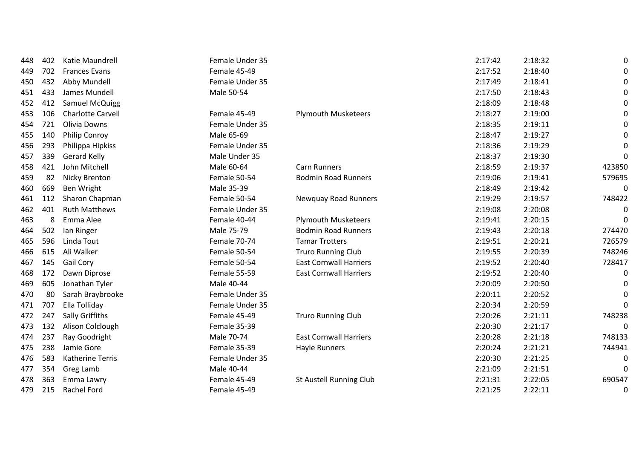| 448 | 402 | Katie Maundrell          | Female Under 35 |                                | 2:17:42 | 2:18:32 | 0            |
|-----|-----|--------------------------|-----------------|--------------------------------|---------|---------|--------------|
| 449 | 702 | <b>Frances Evans</b>     | Female 45-49    |                                | 2:17:52 | 2:18:40 | 0            |
| 450 | 432 | Abby Mundell             | Female Under 35 |                                | 2:17:49 | 2:18:41 | 0            |
| 451 | 433 | James Mundell            | Male 50-54      |                                | 2:17:50 | 2:18:43 | 0            |
| 452 | 412 | Samuel McQuigg           |                 |                                | 2:18:09 | 2:18:48 | 0            |
| 453 | 106 | <b>Charlotte Carvell</b> | Female 45-49    | <b>Plymouth Musketeers</b>     | 2:18:27 | 2:19:00 | 0            |
| 454 | 721 | <b>Olivia Downs</b>      | Female Under 35 |                                | 2:18:35 | 2:19:11 | 0            |
| 455 | 140 | Philip Conroy            | Male 65-69      |                                | 2:18:47 | 2:19:27 | 0            |
| 456 | 293 | Philippa Hipkiss         | Female Under 35 |                                | 2:18:36 | 2:19:29 | 0            |
| 457 | 339 | <b>Gerard Kelly</b>      | Male Under 35   |                                | 2:18:37 | 2:19:30 | $\mathbf{0}$ |
| 458 | 421 | John Mitchell            | Male 60-64      | <b>Carn Runners</b>            | 2:18:59 | 2:19:37 | 423850       |
| 459 | 82  | Nicky Brenton            | Female 50-54    | <b>Bodmin Road Runners</b>     | 2:19:06 | 2:19:41 | 579695       |
| 460 | 669 | Ben Wright               | Male 35-39      |                                | 2:18:49 | 2:19:42 | 0            |
| 461 | 112 | Sharon Chapman           | Female 50-54    | <b>Newquay Road Runners</b>    | 2:19:29 | 2:19:57 | 748422       |
| 462 | 401 | <b>Ruth Matthews</b>     | Female Under 35 |                                | 2:19:08 | 2:20:08 | 0            |
| 463 | 8   | Emma Alee                | Female 40-44    | <b>Plymouth Musketeers</b>     | 2:19:41 | 2:20:15 | 0            |
| 464 | 502 | lan Ringer               | Male 75-79      | <b>Bodmin Road Runners</b>     | 2:19:43 | 2:20:18 | 274470       |
| 465 | 596 | Linda Tout               | Female 70-74    | <b>Tamar Trotters</b>          | 2:19:51 | 2:20:21 | 726579       |
| 466 | 615 | Ali Walker               | Female 50-54    | <b>Truro Running Club</b>      | 2:19:55 | 2:20:39 | 748246       |
| 467 | 145 | Gail Cory                | Female 50-54    | <b>East Cornwall Harriers</b>  | 2:19:52 | 2:20:40 | 728417       |
| 468 | 172 | Dawn Diprose             | Female 55-59    | <b>East Cornwall Harriers</b>  | 2:19:52 | 2:20:40 | 0            |
| 469 | 605 | Jonathan Tyler           | Male 40-44      |                                | 2:20:09 | 2:20:50 | 0            |
| 470 | 80  | Sarah Braybrooke         | Female Under 35 |                                | 2:20:11 | 2:20:52 | $\mathbf{0}$ |
| 471 | 707 | Ella Tolliday            | Female Under 35 |                                | 2:20:34 | 2:20:59 | $\mathbf{0}$ |
| 472 | 247 | Sally Griffiths          | Female 45-49    | <b>Truro Running Club</b>      | 2:20:26 | 2:21:11 | 748238       |
| 473 | 132 | Alison Colclough         | Female 35-39    |                                | 2:20:30 | 2:21:17 | 0            |
| 474 | 237 | Ray Goodright            | Male 70-74      | <b>East Cornwall Harriers</b>  | 2:20:28 | 2:21:18 | 748133       |
| 475 | 238 | Jamie Gore               | Female 35-39    | Hayle Runners                  | 2:20:24 | 2:21:21 | 744941       |
| 476 | 583 | <b>Katherine Terris</b>  | Female Under 35 |                                | 2:20:30 | 2:21:25 | 0            |
| 477 | 354 | Greg Lamb                | Male 40-44      |                                | 2:21:09 | 2:21:51 | 0            |
| 478 | 363 | Emma Lawry               | Female 45-49    | <b>St Austell Running Club</b> | 2:21:31 | 2:22:05 | 690547       |
| 479 | 215 | Rachel Ford              | Female 45-49    |                                | 2:21:25 | 2:22:11 | 0            |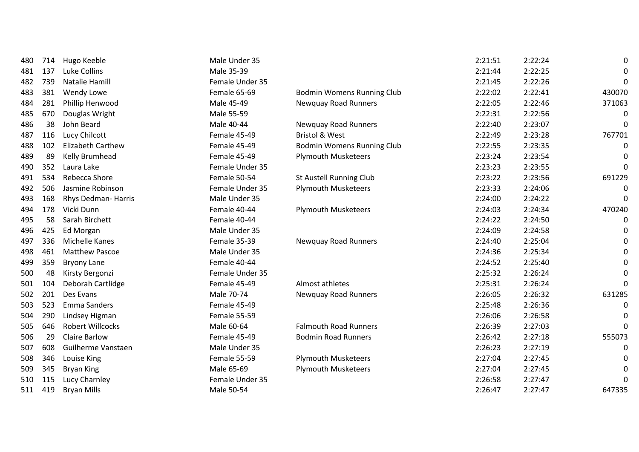| 480 | 714 | Hugo Keeble             | Male Under 35   |                                   | 2:21:51 | 2:22:24 | 0        |
|-----|-----|-------------------------|-----------------|-----------------------------------|---------|---------|----------|
| 481 | 137 | Luke Collins            | Male 35-39      |                                   | 2:21:44 | 2:22:25 | 0        |
| 482 | 739 | Natalie Hamill          | Female Under 35 |                                   | 2:21:45 | 2:22:26 | $\Omega$ |
| 483 | 381 | Wendy Lowe              | Female 65-69    | Bodmin Womens Running Club        | 2:22:02 | 2:22:41 | 430070   |
| 484 | 281 | Phillip Henwood         | Male 45-49      | <b>Newquay Road Runners</b>       | 2:22:05 | 2:22:46 | 371063   |
| 485 | 670 | Douglas Wright          | Male 55-59      |                                   | 2:22:31 | 2:22:56 | $\Omega$ |
| 486 | 38  | John Beard              | Male 40-44      | <b>Newquay Road Runners</b>       | 2:22:40 | 2:23:07 | $\Omega$ |
| 487 | 116 | Lucy Chilcott           | Female 45-49    | <b>Bristol &amp; West</b>         | 2:22:49 | 2:23:28 | 767701   |
| 488 | 102 | Elizabeth Carthew       | Female 45-49    | <b>Bodmin Womens Running Club</b> | 2:22:55 | 2:23:35 | 0        |
| 489 | 89  | Kelly Brumhead          | Female 45-49    | <b>Plymouth Musketeers</b>        | 2:23:24 | 2:23:54 |          |
| 490 | 352 | Laura Lake              | Female Under 35 |                                   | 2:23:23 | 2:23:55 | 0        |
| 491 | 534 | Rebecca Shore           | Female 50-54    | St Austell Running Club           | 2:23:22 | 2:23:56 | 691229   |
| 492 | 506 | Jasmine Robinson        | Female Under 35 | <b>Plymouth Musketeers</b>        | 2:23:33 | 2:24:06 | 0        |
| 493 | 168 | Rhys Dedman-Harris      | Male Under 35   |                                   | 2:24:00 | 2:24:22 | 0        |
| 494 | 178 | Vicki Dunn              | Female 40-44    | <b>Plymouth Musketeers</b>        | 2:24:03 | 2:24:34 | 470240   |
| 495 | 58  | Sarah Birchett          | Female 40-44    |                                   | 2:24:22 | 2:24:50 | 0        |
| 496 | 425 | Ed Morgan               | Male Under 35   |                                   | 2:24:09 | 2:24:58 | $\Omega$ |
| 497 | 336 | Michelle Kanes          | Female 35-39    | <b>Newquay Road Runners</b>       | 2:24:40 | 2:25:04 | $\Omega$ |
| 498 | 461 | <b>Matthew Pascoe</b>   | Male Under 35   |                                   | 2:24:36 | 2:25:34 | 0        |
| 499 | 359 | <b>Bryony Lane</b>      | Female 40-44    |                                   | 2:24:52 | 2:25:40 | 0        |
| 500 | 48  | Kirsty Bergonzi         | Female Under 35 |                                   | 2:25:32 | 2:26:24 | $\Omega$ |
| 501 | 104 | Deborah Cartlidge       | Female 45-49    | Almost athletes                   | 2:25:31 | 2:26:24 | 0        |
| 502 | 201 | Des Evans               | Male 70-74      | <b>Newquay Road Runners</b>       | 2:26:05 | 2:26:32 | 631285   |
| 503 | 523 | <b>Emma Sanders</b>     | Female 45-49    |                                   | 2:25:48 | 2:26:36 | 0        |
| 504 | 290 | Lindsey Higman          | Female 55-59    |                                   | 2:26:06 | 2:26:58 | $\Omega$ |
| 505 | 646 | <b>Robert Willcocks</b> | Male 60-64      | <b>Falmouth Road Runners</b>      | 2:26:39 | 2:27:03 | 0        |
| 506 | 29  | <b>Claire Barlow</b>    | Female 45-49    | <b>Bodmin Road Runners</b>        | 2:26:42 | 2:27:18 | 555073   |
| 507 | 608 | Guilherme Vanstaen      | Male Under 35   |                                   | 2:26:23 | 2:27:19 | 0        |
| 508 | 346 | Louise King             | Female 55-59    | <b>Plymouth Musketeers</b>        | 2:27:04 | 2:27:45 | 0        |
| 509 | 345 | <b>Bryan King</b>       | Male 65-69      | <b>Plymouth Musketeers</b>        | 2:27:04 | 2:27:45 | 0        |
| 510 | 115 | Lucy Charnley           | Female Under 35 |                                   | 2:26:58 | 2:27:47 | 0        |
| 511 | 419 | <b>Bryan Mills</b>      | Male 50-54      |                                   | 2:26:47 | 2:27:47 | 647335   |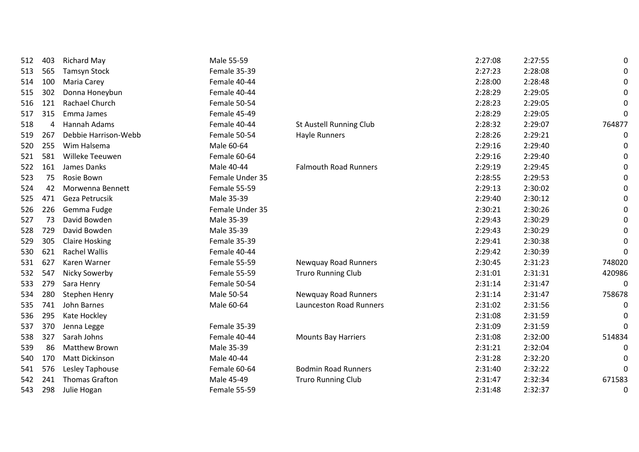| 512 | 403 | <b>Richard May</b>    | Male 55-59      |                                | 2:27:08 | 2:27:55 | 0        |
|-----|-----|-----------------------|-----------------|--------------------------------|---------|---------|----------|
| 513 | 565 | <b>Tamsyn Stock</b>   | Female 35-39    |                                | 2:27:23 | 2:28:08 | 0        |
| 514 | 100 | Maria Carey           | Female 40-44    |                                | 2:28:00 | 2:28:48 | 0        |
| 515 | 302 | Donna Honeybun        | Female 40-44    |                                | 2:28:29 | 2:29:05 | 0        |
| 516 | 121 | Rachael Church        | Female 50-54    |                                | 2:28:23 | 2:29:05 | 0        |
| 517 | 315 | Emma James            | Female 45-49    |                                | 2:28:29 | 2:29:05 | 0        |
| 518 | 4   | Hannah Adams          | Female 40-44    | St Austell Running Club        | 2:28:32 | 2:29:07 | 764877   |
| 519 | 267 | Debbie Harrison-Webb  | Female 50-54    | Hayle Runners                  | 2:28:26 | 2:29:21 | 0        |
| 520 | 255 | Wim Halsema           | Male 60-64      |                                | 2:29:16 | 2:29:40 | 0        |
| 521 | 581 | Willeke Teeuwen       | Female 60-64    |                                | 2:29:16 | 2:29:40 | 0        |
| 522 | 161 | James Danks           | Male 40-44      | <b>Falmouth Road Runners</b>   | 2:29:19 | 2:29:45 | 0        |
| 523 | 75  | Rosie Bown            | Female Under 35 |                                | 2:28:55 | 2:29:53 | 0        |
| 524 | 42  | Morwenna Bennett      | Female 55-59    |                                | 2:29:13 | 2:30:02 | 0        |
| 525 | 471 | Geza Petrucsik        | Male 35-39      |                                | 2:29:40 | 2:30:12 | 0        |
| 526 | 226 | Gemma Fudge           | Female Under 35 |                                | 2:30:21 | 2:30:26 | 0        |
| 527 | 73  | David Bowden          | Male 35-39      |                                | 2:29:43 | 2:30:29 | 0        |
| 528 | 729 | David Bowden          | Male 35-39      |                                | 2:29:43 | 2:30:29 | $\Omega$ |
| 529 | 305 | <b>Claire Hosking</b> | Female 35-39    |                                | 2:29:41 | 2:30:38 | 0        |
| 530 | 621 | <b>Rachel Wallis</b>  | Female 40-44    |                                | 2:29:42 | 2:30:39 | $\Omega$ |
| 531 | 627 | Karen Warner          | Female 55-59    | <b>Newquay Road Runners</b>    | 2:30:45 | 2:31:23 | 748020   |
| 532 | 547 | <b>Nicky Sowerby</b>  | Female 55-59    | <b>Truro Running Club</b>      | 2:31:01 | 2:31:31 | 420986   |
| 533 | 279 | Sara Henry            | Female 50-54    |                                | 2:31:14 | 2:31:47 | 0        |
| 534 | 280 | Stephen Henry         | Male 50-54      | <b>Newquay Road Runners</b>    | 2:31:14 | 2:31:47 | 758678   |
| 535 | 741 | John Barnes           | Male 60-64      | <b>Launceston Road Runners</b> | 2:31:02 | 2:31:56 | 0        |
| 536 | 295 | Kate Hockley          |                 |                                | 2:31:08 | 2:31:59 | 0        |
| 537 | 370 | Jenna Legge           | Female 35-39    |                                | 2:31:09 | 2:31:59 | $\Omega$ |
| 538 | 327 | Sarah Johns           | Female 40-44    | <b>Mounts Bay Harriers</b>     | 2:31:08 | 2:32:00 | 514834   |
| 539 | 86  | Matthew Brown         | Male 35-39      |                                | 2:31:21 | 2:32:04 | 0        |
| 540 | 170 | <b>Matt Dickinson</b> | Male 40-44      |                                | 2:31:28 | 2:32:20 | 0        |
| 541 | 576 | Lesley Taphouse       | Female 60-64    | <b>Bodmin Road Runners</b>     | 2:31:40 | 2:32:22 | 0        |
| 542 | 241 | Thomas Grafton        | Male 45-49      | <b>Truro Running Club</b>      | 2:31:47 | 2:32:34 | 671583   |
| 543 | 298 | Julie Hogan           | Female 55-59    |                                | 2:31:48 | 2:32:37 | 0        |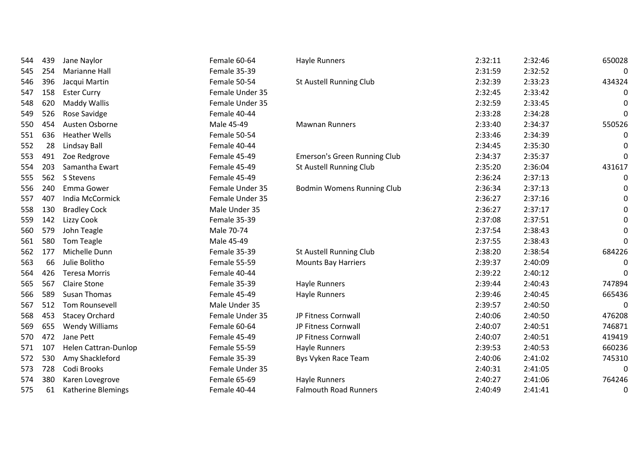| 544 | 439 | Jane Naylor           | Female 60-64    | Hayle Runners                  | 2:32:11 | 2:32:46 | 650028   |
|-----|-----|-----------------------|-----------------|--------------------------------|---------|---------|----------|
| 545 | 254 | <b>Marianne Hall</b>  | Female 35-39    |                                | 2:31:59 | 2:32:52 | 0        |
| 546 | 396 | Jacqui Martin         | Female 50-54    | <b>St Austell Running Club</b> | 2:32:39 | 2:33:23 | 434324   |
| 547 | 158 | <b>Ester Curry</b>    | Female Under 35 |                                | 2:32:45 | 2:33:42 | 0        |
| 548 | 620 | <b>Maddy Wallis</b>   | Female Under 35 |                                | 2:32:59 | 2:33:45 | 0        |
| 549 | 526 | Rose Savidge          | Female 40-44    |                                | 2:33:28 | 2:34:28 | 0        |
| 550 | 454 | Austen Osborne        | Male 45-49      | <b>Mawnan Runners</b>          | 2:33:40 | 2:34:37 | 550526   |
| 551 | 636 | <b>Heather Wells</b>  | Female 50-54    |                                | 2:33:46 | 2:34:39 | 0        |
| 552 | 28  | Lindsay Ball          | Female 40-44    |                                | 2:34:45 | 2:35:30 | 0        |
| 553 | 491 | Zoe Redgrove          | Female 45-49    | Emerson's Green Running Club   | 2:34:37 | 2:35:37 | 0        |
| 554 | 203 | Samantha Ewart        | Female 45-49    | <b>St Austell Running Club</b> | 2:35:20 | 2:36:04 | 431617   |
| 555 | 562 | S Stevens             | Female 45-49    |                                | 2:36:24 | 2:37:13 | 0        |
| 556 | 240 | Emma Gower            | Female Under 35 | Bodmin Womens Running Club     | 2:36:34 | 2:37:13 | 0        |
| 557 | 407 | India McCormick       | Female Under 35 |                                | 2:36:27 | 2:37:16 | 0        |
| 558 | 130 | <b>Bradley Cock</b>   | Male Under 35   |                                | 2:36:27 | 2:37:17 | 0        |
| 559 | 142 | Lizzy Cook            | Female 35-39    |                                | 2:37:08 | 2:37:51 | 0        |
| 560 | 579 | John Teagle           | Male 70-74      |                                | 2:37:54 | 2:38:43 | 0        |
| 561 | 580 | Tom Teagle            | Male 45-49      |                                | 2:37:55 | 2:38:43 | 0        |
| 562 | 177 | Michelle Dunn         | Female 35-39    | <b>St Austell Running Club</b> | 2:38:20 | 2:38:54 | 684226   |
| 563 | 66  | Julie Bolitho         | Female 55-59    | <b>Mounts Bay Harriers</b>     | 2:39:37 | 2:40:09 | 0        |
| 564 | 426 | <b>Teresa Morris</b>  | Female 40-44    |                                | 2:39:22 | 2:40:12 | 0        |
| 565 | 567 | <b>Claire Stone</b>   | Female 35-39    | Hayle Runners                  | 2:39:44 | 2:40:43 | 747894   |
| 566 | 589 | <b>Susan Thomas</b>   | Female 45-49    | Hayle Runners                  | 2:39:46 | 2:40:45 | 665436   |
| 567 | 512 | Tom Rounsevell        | Male Under 35   |                                | 2:39:57 | 2:40:50 | 0        |
| 568 | 453 | <b>Stacey Orchard</b> | Female Under 35 | JP Fitness Cornwall            | 2:40:06 | 2:40:50 | 476208   |
| 569 | 655 | <b>Wendy Williams</b> | Female 60-64    | JP Fitness Cornwall            | 2:40:07 | 2:40:51 | 746871   |
| 570 | 472 | Jane Pett             | Female 45-49    | JP Fitness Cornwall            | 2:40:07 | 2:40:51 | 419419   |
| 571 | 107 | Helen Cattran-Dunlop  | Female 55-59    | Hayle Runners                  | 2:39:53 | 2:40:53 | 660236   |
| 572 | 530 | Amy Shackleford       | Female 35-39    | Bys Vyken Race Team            | 2:40:06 | 2:41:02 | 745310   |
| 573 | 728 | Codi Brooks           | Female Under 35 |                                | 2:40:31 | 2:41:05 | $\Omega$ |
| 574 | 380 | Karen Lovegrove       | Female 65-69    | Hayle Runners                  | 2:40:27 | 2:41:06 | 764246   |
| 575 | 61  | Katherine Blemings    | Female 40-44    | <b>Falmouth Road Runners</b>   | 2:40:49 | 2:41:41 | 0        |